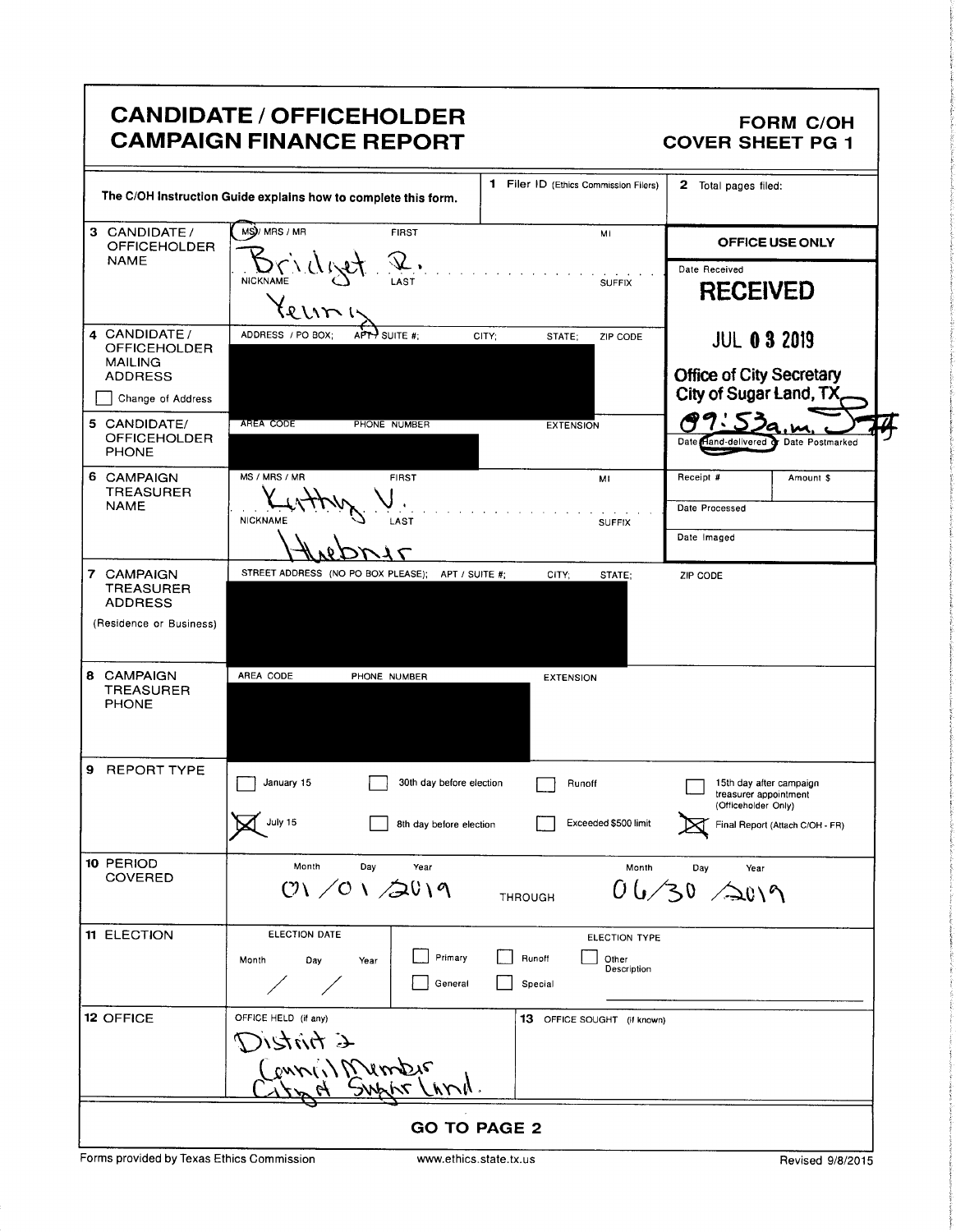|                                                                | <b>CANDIDATE / OFFICEHOLDER</b><br><b>CAMPAIGN FINANCE REPORT</b> |                                                   |                                                    |                                       | <b>FORM C/OH</b><br><b>COVER SHEET PG 1</b>                             |  |
|----------------------------------------------------------------|-------------------------------------------------------------------|---------------------------------------------------|----------------------------------------------------|---------------------------------------|-------------------------------------------------------------------------|--|
| The C/OH Instruction Guide explains how to complete this form. |                                                                   |                                                   | 1 Filer ID (Ethics Commission Filers)              | 2 Total pages filed:                  |                                                                         |  |
| 3 CANDIDATE /<br><b>OFFICEHOLDER</b><br><b>NAME</b>            | MS)/ MRS / MR<br><b>FIRST</b>                                     |                                                   | MI                                                 |                                       | OFFICE USE ONLY                                                         |  |
|                                                                | NICKNAME 1.0<br>1112                                              |                                                   | <b>SUFFIX</b>                                      | Date Received                         | <b>RECEIVED</b>                                                         |  |
| 4 CANDIDATE/<br><b>OFFICEHOLDER</b><br><b>MAILING</b>          | ADDRESS / PO BOX:                                                 | APTY SUITE #:                                     | CITY:<br>STATE;<br>ZIP CODE                        |                                       | <b>JUL 0 3 2019</b>                                                     |  |
| <b>ADDRESS</b><br>Change of Address                            |                                                                   |                                                   |                                                    |                                       | <b>Office of City Secretary</b><br>City of Sugar Land, TX               |  |
| 5 CANDIDATE/<br><b>OFFICEHOLDER</b><br><b>PHONE</b>            | AREA CODE                                                         | PHONE NUMBER                                      | <b>EXTENSION</b>                                   |                                       | Date Hand-delivered or Date Postmarked                                  |  |
| 6 CAMPAIGN<br>TREASURER                                        | MS / MRS / MR                                                     | <b>FIRST</b>                                      | MI                                                 | Receipt #                             | Amount \$                                                               |  |
| <b>NAME</b>                                                    | <b>NICKNAME</b>                                                   | LAST                                              | <b>SUFFIX</b>                                      | Date Processed                        |                                                                         |  |
|                                                                |                                                                   |                                                   |                                                    | Date Imaged                           |                                                                         |  |
| 7 CAMPAIGN<br><b>TREASURER</b><br><b>ADDRESS</b>               |                                                                   | STREET ADDRESS (NO PO BOX PLEASE); APT / SUITE #; | CITY;<br>STATE:                                    | ZIP CODE                              |                                                                         |  |
| (Residence or Business)                                        |                                                                   |                                                   |                                                    |                                       |                                                                         |  |
| 8 CAMPAIGN<br><b>TREASURER</b><br><b>PHONE</b>                 | AREA CODE                                                         | PHONE NUMBER                                      | <b>EXTENSION</b>                                   |                                       |                                                                         |  |
| 9 REPORT TYPE                                                  | January 15                                                        | 30th day before election                          | Runoff                                             | ┙                                     | 15th day after campaign<br>treasurer appointment<br>(Officeholder Only) |  |
|                                                                | $\mathbb{Z}$ July 15                                              | 8th day before election                           | Exceeded \$500 limit                               |                                       | Final Report (Attach C/OH - FR)                                         |  |
| 10 PERIOD<br><b>COVERED</b>                                    | Month                                                             | Day<br>Year<br>01/01/2019                         | <b>THROUGH</b>                                     | Month<br>Day<br>$06/30 \triangle$ 019 | Year                                                                    |  |
| 11 ELECTION                                                    | ELECTION DATE<br>Month<br>Day                                     | Primary<br>Year<br>General                        | <b>ELECTION TYPE</b><br>Runoff<br>Other<br>Special | Description                           |                                                                         |  |
| 12 OFFICE                                                      | OFFICE HELD (if any)<br>G thit is                                 |                                                   | 13 OFFICE SOUGHT (if known)                        |                                       |                                                                         |  |
|                                                                |                                                                   | Cannill Mumber<br>Arm of Suppre Land              |                                                    |                                       |                                                                         |  |
|                                                                |                                                                   | <b>GO TO PAGE 2</b>                               |                                                    |                                       |                                                                         |  |
| Forms provided by Texas Ethics Commission                      |                                                                   | www.ethics.state.tx.us                            |                                                    |                                       | Revised 9/8/2015                                                        |  |

r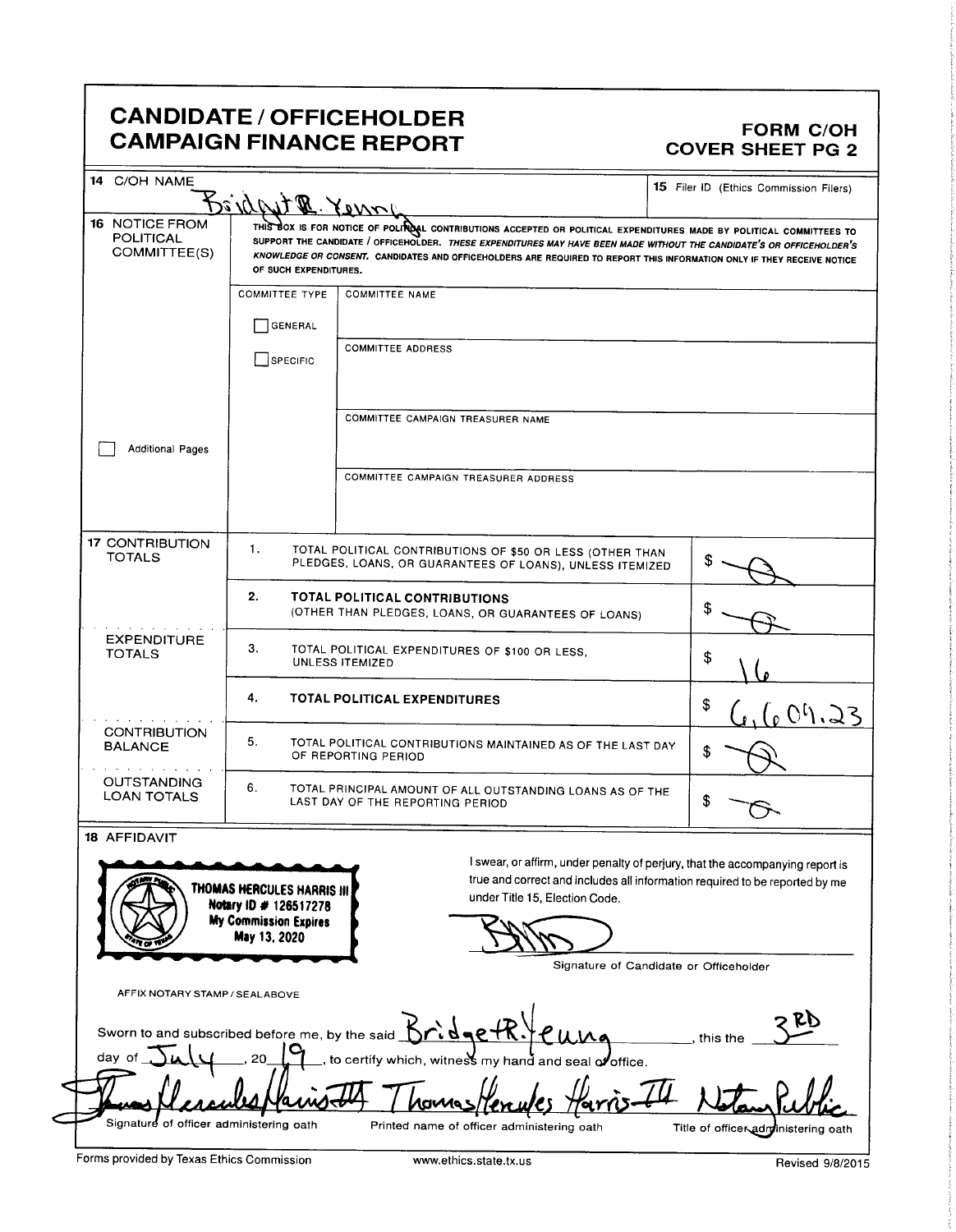## CANDIDATE / OFFICEHOLDER **CAMPAIGN FINANCE REPORT**

## FORM C/OH<br>COVER SHEET PG 2

| 14 C/OH NAME                                              | Janney. Dtwnie                                                                                                                                                                                                                                                                                                                                                                                  |                                                                                      | 15 Filer ID (Ethics Commission Filers)                                                                                                                       |  |  |
|-----------------------------------------------------------|-------------------------------------------------------------------------------------------------------------------------------------------------------------------------------------------------------------------------------------------------------------------------------------------------------------------------------------------------------------------------------------------------|--------------------------------------------------------------------------------------|--------------------------------------------------------------------------------------------------------------------------------------------------------------|--|--|
| <b>16 NOTICE FROM</b><br><b>POLITICAL</b><br>COMMITTEE(S) | THIS BOX IS FOR NOTICE OF POLIROAL CONTRIBUTIONS ACCEPTED OR POLITICAL EXPENDITURES MADE BY POLITICAL COMMITTEES TO<br>SUPPORT THE CANDIDATE / OFFICEHOLDER. THESE EXPENDITURES MAY HAVE BEEN MADE WITHOUT THE CANDIDATE'S OR OFFICEHOLDER'S<br>KNOWLEDGE OR CONSENT. CANDIDATES AND OFFICEHOLDERS ARE REQUIRED TO REPORT THIS INFORMATION ONLY IF THEY RECEIVE NOTICE<br>OF SUCH EXPENDITURES. |                                                                                      |                                                                                                                                                              |  |  |
|                                                           | <b>COMMITTEE TYPE</b>                                                                                                                                                                                                                                                                                                                                                                           | <b>COMMITTEE NAME</b>                                                                |                                                                                                                                                              |  |  |
|                                                           | GENERAL                                                                                                                                                                                                                                                                                                                                                                                         |                                                                                      |                                                                                                                                                              |  |  |
|                                                           | SPECIFIC                                                                                                                                                                                                                                                                                                                                                                                        | <b>COMMITTEE ADDRESS</b>                                                             |                                                                                                                                                              |  |  |
|                                                           |                                                                                                                                                                                                                                                                                                                                                                                                 | COMMITTEE CAMPAIGN TREASURER NAME                                                    |                                                                                                                                                              |  |  |
| <b>Additional Pages</b>                                   |                                                                                                                                                                                                                                                                                                                                                                                                 |                                                                                      |                                                                                                                                                              |  |  |
|                                                           |                                                                                                                                                                                                                                                                                                                                                                                                 | COMMITTEE CAMPAIGN TREASURER ADDRESS                                                 |                                                                                                                                                              |  |  |
|                                                           |                                                                                                                                                                                                                                                                                                                                                                                                 |                                                                                      |                                                                                                                                                              |  |  |
| <b>17 CONTRIBUTION</b><br><b>TOTALS</b>                   | 1.<br>TOTAL POLITICAL CONTRIBUTIONS OF \$50 OR LESS (OTHER THAN<br>PLEDGES, LOANS, OR GUARANTEES OF LOANS), UNLESS ITEMIZED                                                                                                                                                                                                                                                                     |                                                                                      |                                                                                                                                                              |  |  |
|                                                           | 2.                                                                                                                                                                                                                                                                                                                                                                                              | TOTAL POLITICAL CONTRIBUTIONS<br>(OTHER THAN PLEDGES, LOANS, OR GUARANTEES OF LOANS) | S                                                                                                                                                            |  |  |
| <b>EXPENDITURE</b><br><b>TOTALS</b>                       | 3.<br>TOTAL POLITICAL EXPENDITURES OF \$100 OR LESS,<br>UNLESS ITEMIZED                                                                                                                                                                                                                                                                                                                         | \$                                                                                   |                                                                                                                                                              |  |  |
|                                                           | 4.                                                                                                                                                                                                                                                                                                                                                                                              | TOTAL POLITICAL EXPENDITURES                                                         | \$<br>609.23                                                                                                                                                 |  |  |
| <b>CONTRIBUTION</b><br><b>BALANCE</b>                     | 5.<br>TOTAL POLITICAL CONTRIBUTIONS MAINTAINED AS OF THE LAST DAY<br>OF REPORTING PERIOD                                                                                                                                                                                                                                                                                                        | \$                                                                                   |                                                                                                                                                              |  |  |
| <b>OUTSTANDING</b><br><b>LOAN TOTALS</b>                  | 6.<br>TOTAL PRINCIPAL AMOUNT OF ALL OUTSTANDING LOANS AS OF THE<br>LAST DAY OF THE REPORTING PERIOD                                                                                                                                                                                                                                                                                             | S                                                                                    |                                                                                                                                                              |  |  |
| <b>18 AFFIDAVIT</b>                                       |                                                                                                                                                                                                                                                                                                                                                                                                 |                                                                                      |                                                                                                                                                              |  |  |
| l co                                                      | THOMAS HERCULES HARRIS III<br>Notary ID # 126517278<br>My Commission Expires<br>May 13, 2020                                                                                                                                                                                                                                                                                                    | under Title 15, Election Code.                                                       | I swear, or affirm, under penalty of perjury, that the accompanying report is<br>true and correct and includes all information required to be reported by me |  |  |
|                                                           |                                                                                                                                                                                                                                                                                                                                                                                                 |                                                                                      | Signature of Candidate or Officeholder                                                                                                                       |  |  |
| AFFIX NOTARY STAMP / SEALABOVE                            |                                                                                                                                                                                                                                                                                                                                                                                                 |                                                                                      |                                                                                                                                                              |  |  |
| Sworn to and subscribed before me, by the said            |                                                                                                                                                                                                                                                                                                                                                                                                 | ridaet                                                                               | RD<br>this the                                                                                                                                               |  |  |
| day<br>.of                                                | 20                                                                                                                                                                                                                                                                                                                                                                                              | to certify which, witness my hand and seal of office.                                |                                                                                                                                                              |  |  |
|                                                           |                                                                                                                                                                                                                                                                                                                                                                                                 |                                                                                      |                                                                                                                                                              |  |  |
| Signature of officer administering oath                   |                                                                                                                                                                                                                                                                                                                                                                                                 | Printed name of officer administering oath                                           | Title of officer administering oath                                                                                                                          |  |  |

Forms provided by Texas Ethics Commission www.ethics.state.tx.us Revised 9/8/2015